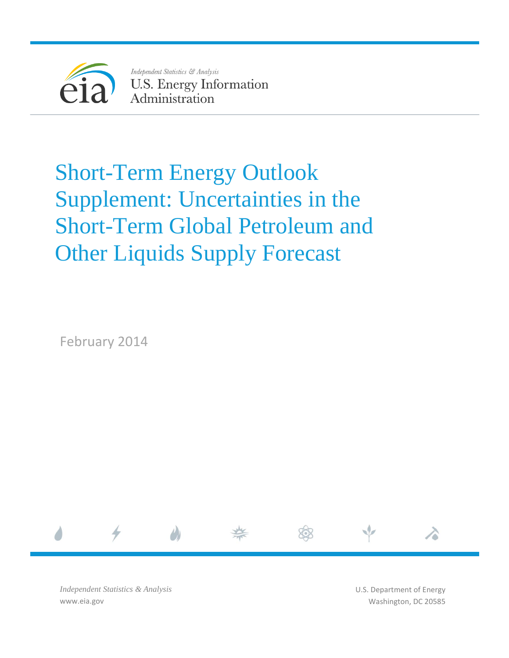

Independent Statistics & Analysis **U.S. Energy Information** Administration

# Short-Term Energy Outlook Supplement: Uncertainties in the Short-Term Global Petroleum and Other Liquids Supply Forecast

February 2014



*Independent Statistics & Analysis* www.eia.gov

U.S. Department of Energy Washington, DC 20585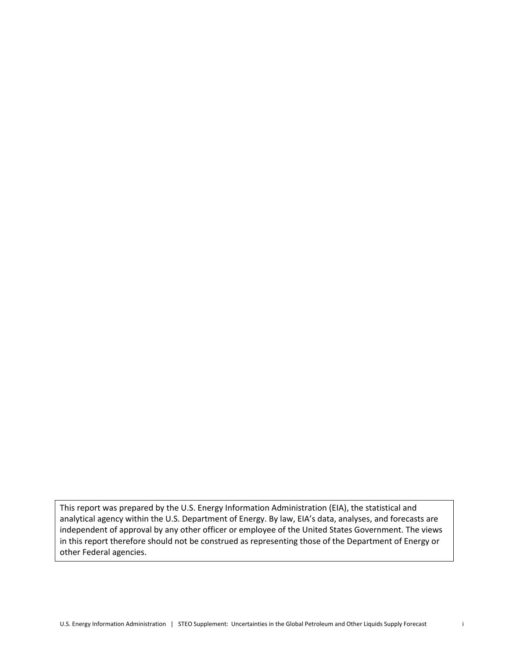This report was prepared by the U.S. Energy Information Administration (EIA), the statistical and analytical agency within the U.S. Department of Energy. By law, EIA's data, analyses, and forecasts are independent of approval by any other officer or employee of the United States Government. The views in this report therefore should not be construed as representing those of the Department of Energy or other Federal agencies.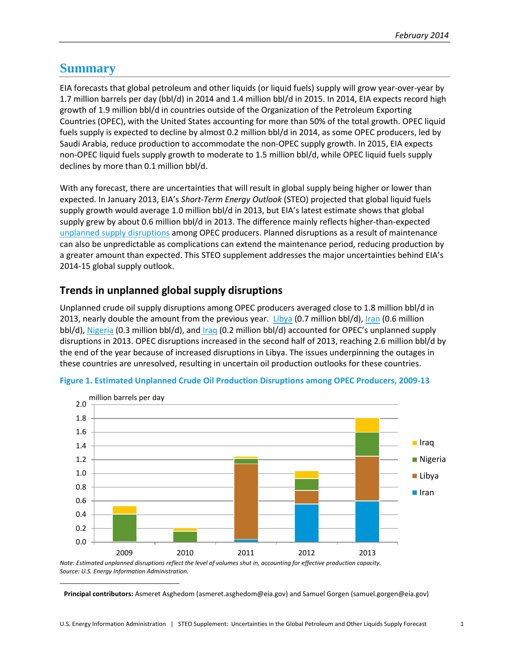## **Summary**

l

EIA forecasts that global petroleum and other liquids (or liquid fuels) supply will grow year-over-year by 1.7 million barrels per day (bbl/d) in 2014 and 1.4 million bbl/d in 2015. In 2014, EIA expects record high growth of 1.9 million bbl/d in countries outside of the Organization of the Petroleum Exporting Countries (OPEC), with the United States accounting for more than 50% of the total growth. OPEC liquid fuels supply is expected to decline by almost 0.2 million bbl/d in 2014, as some OPEC producers, led by Saudi Arabia, reduce production to accommodate the non-OPEC supply growth. In 2015, EIA expects non-OPEC liquid fuels supply growth to moderate to 1.5 million bbl/d, while OPEC liquid fuels supply declines by more than 0.1 million bbl/d.

With any forecast, there are uncertainties that will result in global supply being higher or lower than expected. In January 2013, EIA's *Short-Term Energy Outlook* (STEO) projected that global liquid fuels supply growth would average 1.0 million bbl/d in 2013, but EIA's latest estimate shows that global supply grew by about 0.6 million bbl/d in 2013. The difference mainly reflects higher-than-expected [unplanned supply disruptions](http://www.eia.gov/forecasts/steo/data.cfm?type=figures) among OPEC producers. Planned disruptions as a result of maintenance can also be unpredictable as complications can extend the maintenance period, reducing production by a greater amount than expected. This STEO supplement addresses the major uncertainties behind EIA's 2014-15 global supply outlook.

## **Trends in unplanned global supply disruptions**

Unplanned crude oil supply disruptions among OPEC producers averaged close to 1.8 million bbl/d in 2013, nearly double the amount from the previous year. [Libya](http://www.eia.gov/countries/cab.cfm?fips=LY) (0.7 million bbl/d)[, Iran](http://www.eia.gov/countries/cab.cfm?fips=IR) (0.6 million bbl/d)[, Nigeria](http://www.eia.gov/countries/cab.cfm?fips=NI) (0.3 million bbl/d), and [Iraq](http://www.eia.gov/countries/cab.cfm?fips=IZ) (0.2 million bbl/d) accounted for OPEC's unplanned supply disruptions in 2013. OPEC disruptions increased in the second half of 2013, reaching 2.6 million bbl/d by the end of the year because of increased disruptions in Libya. The issues underpinning the outages in these countries are unresolved, resulting in uncertain oil production outlooks for these countries.



**Figure 1. Estimated Unplanned Crude Oil Production Disruptions among OPEC Producers, 2009-13**

*Note: Estimated unplanned disruptions reflect the level of volumes shut in, accounting for effective production capacity. Source: U.S. Energy Information Administration.<sup>1</sup>*

**Principal contributors:** Asmeret Asghedom (asmeret.asghedom@eia.gov) and Samuel Gorgen (samuel.gorgen@eia.gov)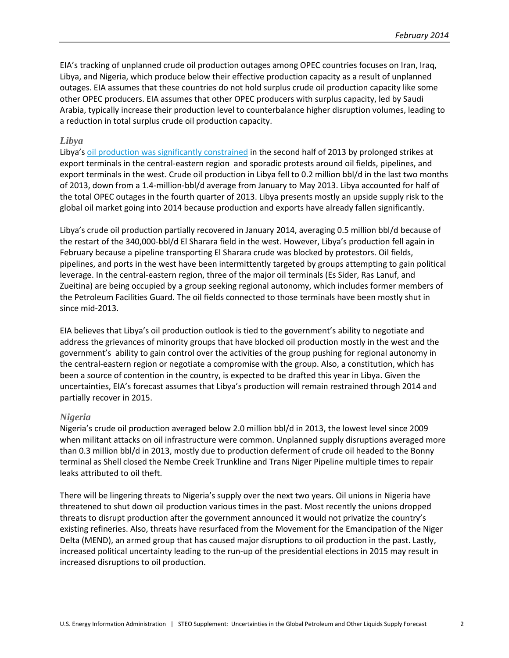EIA's tracking of unplanned crude oil production outages among OPEC countries focuses on Iran, Iraq, Libya, and Nigeria, which produce below their effective production capacity as a result of unplanned outages. EIA assumes that these countries do not hold surplus crude oil production capacity like some other OPEC producers. EIA assumes that other OPEC producers with surplus capacity, led by Saudi Arabia, typically increase their production level to counterbalance higher disruption volumes, leading to a reduction in total surplus crude oil production capacity.

#### *Libya*

Libya's [oil production was significantly constrained](http://www.eia.gov/todayinenergy/detail.cfm?id=13951) in the second half of 2013 by prolonged strikes at export terminals in the central-eastern region and sporadic protests around oil fields, pipelines, and export terminals in the west. Crude oil production in Libya fell to 0.2 million bbl/d in the last two months of 2013, down from a 1.4-million-bbl/d average from January to May 2013. Libya accounted for half of the total OPEC outages in the fourth quarter of 2013. Libya presents mostly an upside supply risk to the global oil market going into 2014 because production and exports have already fallen significantly.

Libya's crude oil production partially recovered in January 2014, averaging 0.5 million bbl/d because of the restart of the 340,000-bbl/d El Sharara field in the west. However, Libya's production fell again in February because a pipeline transporting El Sharara crude was blocked by protestors. Oil fields, pipelines, and ports in the west have been intermittently targeted by groups attempting to gain political leverage. In the central-eastern region, three of the major oil terminals (Es Sider, Ras Lanuf, and Zueitina) are being occupied by a group seeking regional autonomy, which includes former members of the Petroleum Facilities Guard. The oil fields connected to those terminals have been mostly shut in since mid-2013.

EIA believes that Libya's oil production outlook is tied to the government's ability to negotiate and address the grievances of minority groups that have blocked oil production mostly in the west and the government's ability to gain control over the activities of the group pushing for regional autonomy in the central-eastern region or negotiate a compromise with the group. Also, a constitution, which has been a source of contention in the country, is expected to be drafted this year in Libya. Given the uncertainties, EIA's forecast assumes that Libya's production will remain restrained through 2014 and partially recover in 2015.

#### *Nigeria*

Nigeria's crude oil production averaged below 2.0 million bbl/d in 2013, the lowest level since 2009 when militant attacks on oil infrastructure were common. Unplanned supply disruptions averaged more than 0.3 million bbl/d in 2013, mostly due to production deferment of crude oil headed to the Bonny terminal as Shell closed the Nembe Creek Trunkline and Trans Niger Pipeline multiple times to repair leaks attributed to oil theft.

There will be lingering threats to Nigeria's supply over the next two years. Oil unions in Nigeria have threatened to shut down oil production various times in the past. Most recently the unions dropped threats to disrupt production after the government announced it would not privatize the country's existing refineries. Also, threats have resurfaced from the Movement for the Emancipation of the Niger Delta (MEND), an armed group that has caused major disruptions to oil production in the past. Lastly, increased political uncertainty leading to the run-up of the presidential elections in 2015 may result in increased disruptions to oil production.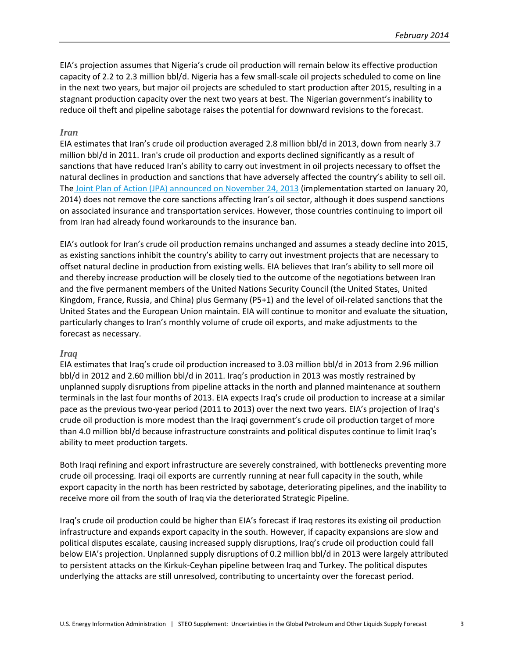EIA's projection assumes that Nigeria's crude oil production will remain below its effective production capacity of 2.2 to 2.3 million bbl/d. Nigeria has a few small-scale oil projects scheduled to come on line in the next two years, but major oil projects are scheduled to start production after 2015, resulting in a stagnant production capacity over the next two years at best. The Nigerian government's inability to reduce oil theft and pipeline sabotage raises the potential for downward revisions to the forecast.

#### *Iran*

EIA estimates that Iran's crude oil production averaged 2.8 million bbl/d in 2013, down from nearly 3.7 million bbl/d in 2011. Iran's crude oil production and exports declined significantly as a result of sanctions that have reduced Iran's ability to carry out investment in oil projects necessary to offset the natural declines in production and sanctions that have adversely affected the country's ability to sell oil. The [Joint Plan of Action \(JPA\)](http://www.whitehouse.gov/sites/default/files/foreign/jointplanofaction24november2013thefinal.pdf) announced on November 24, 2013 (implementation started on January 20, 2014) does not remove the core sanctions affecting Iran's oil sector, although it does suspend sanctions on associated insurance and transportation services. However, those countries continuing to import oil from Iran had already found workarounds to the insurance ban.

EIA's outlook for Iran's crude oil production remains unchanged and assumes a steady decline into 2015, as existing sanctions inhibit the country's ability to carry out investment projects that are necessary to offset natural decline in production from existing wells. EIA believes that Iran's ability to sell more oil and thereby increase production will be closely tied to the outcome of the negotiations between Iran and the five permanent members of the United Nations Security Council (the United States, United Kingdom, France, Russia, and China) plus Germany (P5+1) and the level of oil-related sanctions that the United States and the European Union maintain. EIA will continue to monitor and evaluate the situation, particularly changes to Iran's monthly volume of crude oil exports, and make adjustments to the forecast as necessary.

#### *Iraq*

EIA estimates that Iraq's crude oil production increased to 3.03 million bbl/d in 2013 from 2.96 million bbl/d in 2012 and 2.60 million bbl/d in 2011. Iraq's production in 2013 was mostly restrained by unplanned supply disruptions from pipeline attacks in the north and planned maintenance at southern terminals in the last four months of 2013. EIA expects Iraq's crude oil production to increase at a similar pace as the previous two-year period (2011 to 2013) over the next two years. EIA's projection of Iraq's crude oil production is more modest than the Iraqi government's crude oil production target of more than 4.0 million bbl/d because infrastructure constraints and political disputes continue to limit Iraq's ability to meet production targets.

Both Iraqi refining and export infrastructure are severely constrained, with bottlenecks preventing more crude oil processing. Iraqi oil exports are currently running at near full capacity in the south, while export capacity in the north has been restricted by sabotage, deteriorating pipelines, and the inability to receive more oil from the south of Iraq via the deteriorated Strategic Pipeline.

Iraq's crude oil production could be higher than EIA's forecast if Iraq restores its existing oil production infrastructure and expands export capacity in the south. However, if capacity expansions are slow and political disputes escalate, causing increased supply disruptions, Iraq's crude oil production could fall below EIA's projection. Unplanned supply disruptions of 0.2 million bbl/d in 2013 were largely attributed to persistent attacks on the Kirkuk-Ceyhan pipeline between Iraq and Turkey. The political disputes underlying the attacks are still unresolved, contributing to uncertainty over the forecast period.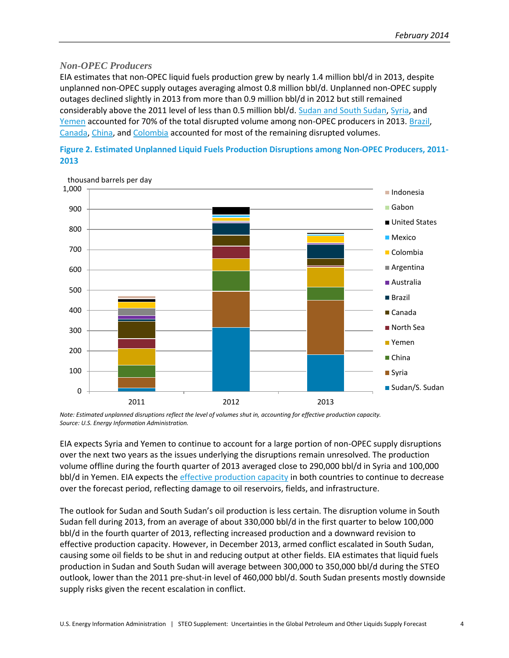#### *Non-OPEC Producers*

EIA estimates that non-OPEC liquid fuels production grew by nearly 1.4 million bbl/d in 2013, despite unplanned non-OPEC supply outages averaging almost 0.8 million bbl/d. Unplanned non-OPEC supply outages declined slightly in 2013 from more than 0.9 million bbl/d in 2012 but still remained considerably above the 2011 level of less than 0.5 million bbl/d. [Sudan and South Sudan,](http://www.eia.gov/countries/cab.cfm?fips=SU) [Syria,](http://www.eia.gov/countries/cab.cfm?fips=SY) and [Yemen](http://www.eia.gov/countries/cab.cfm?fips=YM) accounted for 70% of the total disrupted volume among non-OPEC producers in 2013. [Brazil,](http://www.eia.gov/countries/cab.cfm?fips=BR) [Canada,](http://www.eia.gov/countries/cab.cfm?fips=CA) [China,](http://www.eia.gov/countries/cab.cfm?fips=CH) and [Colombia](http://www.eia.gov/countries/cab.cfm?fips=CO) accounted for most of the remaining disrupted volumes.





*Note: Estimated unplanned disruptions reflect the level of volumes shut in, accounting for effective production capacity. Source: U.S. Energy Information Administration.*

EIA expects Syria and Yemen to continue to account for a large portion of non-OPEC supply disruptions over the next two years as the issues underlying the disruptions remain unresolved. The production volume offline during the fourth quarter of 2013 averaged close to 290,000 bbl/d in Syria and 100,000 bbl/d in Yemen. EIA expects th[e effective production capacity](http://www.eia.gov/forecasts/steo/special/pdf/2013_sp_05.pdf) in both countries to continue to decrease over the forecast period, reflecting damage to oil reservoirs, fields, and infrastructure.

The outlook for Sudan and South Sudan's oil production is less certain. The disruption volume in South Sudan fell during 2013, from an average of about 330,000 bbl/d in the first quarter to below 100,000 bbl/d in the fourth quarter of 2013, reflecting increased production and a downward revision to effective production capacity. However, in December 2013, armed conflict escalated in South Sudan, causing some oil fields to be shut in and reducing output at other fields. EIA estimates that liquid fuels production in Sudan and South Sudan will average between 300,000 to 350,000 bbl/d during the STEO outlook, lower than the 2011 pre-shut-in level of 460,000 bbl/d. South Sudan presents mostly downside supply risks given the recent escalation in conflict.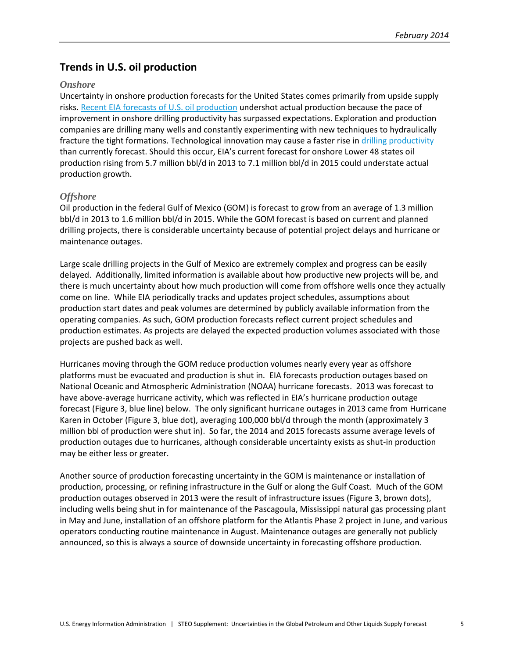## **Trends in U.S. oil production**

#### *Onshore*

Uncertainty in onshore production forecasts for the United States comes primarily from upside supply risks. [Recent EIA forecasts of U.S. oil production](http://www.eia.gov/forecasts/steo/special/pdf/2013_sp_02.pdf) undershot actual production because the pace of improvement in onshore drilling productivity has surpassed expectations. Exploration and production companies are drilling many wells and constantly experimenting with new techniques to hydraulically fracture the tight formations. Technological innovation may cause a faster rise in [drilling productivity](http://www.eia.gov/petroleum/drilling/) than currently forecast. Should this occur, EIA's current forecast for onshore Lower 48 states oil production rising from 5.7 million bbl/d in 2013 to 7.1 million bbl/d in 2015 could understate actual production growth.

#### *Offshore*

Oil production in the federal Gulf of Mexico (GOM) is forecast to grow from an average of 1.3 million bbl/d in 2013 to 1.6 million bbl/d in 2015. While the GOM forecast is based on current and planned drilling projects, there is considerable uncertainty because of potential project delays and hurricane or maintenance outages.

Large scale drilling projects in the Gulf of Mexico are extremely complex and progress can be easily delayed. Additionally, limited information is available about how productive new projects will be, and there is much uncertainty about how much production will come from offshore wells once they actually come on line. While EIA periodically tracks and updates project schedules, assumptions about production start dates and peak volumes are determined by publicly available information from the operating companies. As such, GOM production forecasts reflect current project schedules and production estimates. As projects are delayed the expected production volumes associated with those projects are pushed back as well.

Hurricanes moving through the GOM reduce production volumes nearly every year as offshore platforms must be evacuated and production is shut in. EIA forecasts production outages based on National Oceanic and Atmospheric Administration (NOAA) hurricane forecasts. 2013 was forecast to have above-average hurricane activity, which was reflected in EIA's hurricane production outage forecast (Figure 3, blue line) below. The only significant hurricane outages in 2013 came from Hurricane Karen in October (Figure 3, blue dot), averaging 100,000 bbl/d through the month (approximately 3 million bbl of production were shut in). So far, the 2014 and 2015 forecasts assume average levels of production outages due to hurricanes, although considerable uncertainty exists as shut-in production may be either less or greater.

Another source of production forecasting uncertainty in the GOM is maintenance or installation of production, processing, or refining infrastructure in the Gulf or along the Gulf Coast. Much of the GOM production outages observed in 2013 were the result of infrastructure issues (Figure 3, brown dots), including wells being shut in for maintenance of the Pascagoula, Mississippi natural gas processing plant in May and June, installation of an offshore platform for the Atlantis Phase 2 project in June, and various operators conducting routine maintenance in August. Maintenance outages are generally not publicly announced, so this is always a source of downside uncertainty in forecasting offshore production.